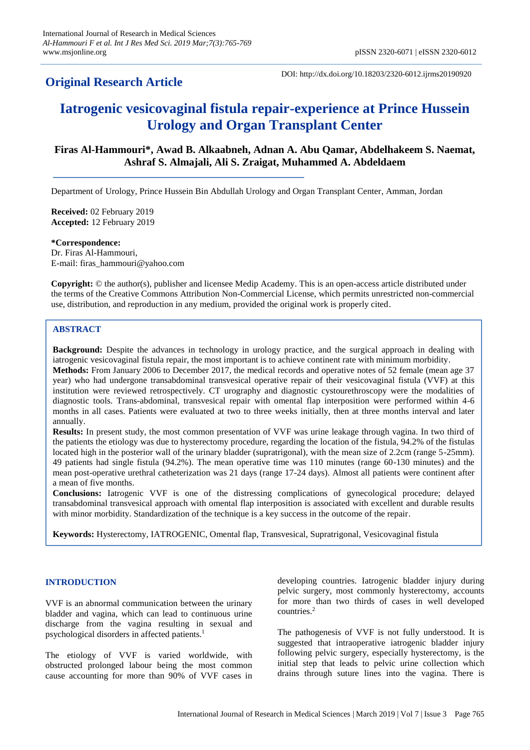## **Original Research Article**

DOI: http://dx.doi.org/10.18203/2320-6012.ijrms20190920

# **Iatrogenic vesicovaginal fistula repair-experience at Prince Hussein Urology and Organ Transplant Center**

## **Firas Al-Hammouri\*, Awad B. Alkaabneh, Adnan A. Abu Qamar, Abdelhakeem S. Naemat, Ashraf S. Almajali, Ali S. Zraigat, Muhammed A. Abdeldaem**

Department of Urology, Prince Hussein Bin Abdullah Urology and Organ Transplant Center, Amman, Jordan

**Received:** 02 February 2019 **Accepted:** 12 February 2019

**\*Correspondence:** Dr. Firas Al-Hammouri, E-mail: firas\_hammouri@yahoo.com

**Copyright:** © the author(s), publisher and licensee Medip Academy. This is an open-access article distributed under the terms of the Creative Commons Attribution Non-Commercial License, which permits unrestricted non-commercial use, distribution, and reproduction in any medium, provided the original work is properly cited.

### **ABSTRACT**

**Background:** Despite the advances in technology in urology practice, and the surgical approach in dealing with iatrogenic vesicovaginal fistula repair, the most important is to achieve continent rate with minimum morbidity. **Methods:** From January 2006 to December 2017, the medical records and operative notes of 52 female (mean age 37 year) who had undergone transabdominal transvesical operative repair of their vesicovaginal fistula (VVF) at this institution were reviewed retrospectively. CT urography and diagnostic cystourethroscopy were the modalities of diagnostic tools. Trans-abdominal, transvesical repair with omental flap interposition were performed within 4-6 months in all cases. Patients were evaluated at two to three weeks initially, then at three months interval and later annually.

**Results:** In present study, the most common presentation of VVF was urine leakage through vagina. In two third of the patients the etiology was due to hysterectomy procedure, regarding the location of the fistula, 94.2% of the fistulas located high in the posterior wall of the urinary bladder (supratrigonal), with the mean size of 2.2cm (range 5-25mm). 49 patients had single fistula (94.2%). The mean operative time was 110 minutes (range 60-130 minutes) and the mean post-operative urethral catheterization was 21 days (range 17-24 days). Almost all patients were continent after a mean of five months.

**Conclusions:** Iatrogenic VVF is one of the distressing complications of gynecological procedure; delayed transabdominal transvesical approach with omental flap interposition is associated with excellent and durable results with minor morbidity. Standardization of the technique is a key success in the outcome of the repair.

**Keywords:** Hysterectomy, IATROGENIC, Omental flap, Transvesical, Supratrigonal, Vesicovaginal fistula

#### **INTRODUCTION**

VVF is an abnormal communication between the urinary bladder and vagina, which can lead to continuous urine discharge from the vagina resulting in sexual and psychological disorders in affected patients.<sup>1</sup>

The etiology of VVF is varied worldwide, with obstructed prolonged labour being the most common cause accounting for more than 90% of VVF cases in developing countries. Iatrogenic bladder injury during pelvic surgery, most commonly hysterectomy, accounts for more than two thirds of cases in well developed countries.<sup>2</sup>

The pathogenesis of VVF is not fully understood. It is suggested that intraoperative iatrogenic bladder injury following pelvic surgery, especially hysterectomy, is the initial step that leads to pelvic urine collection which drains through suture lines into the vagina. There is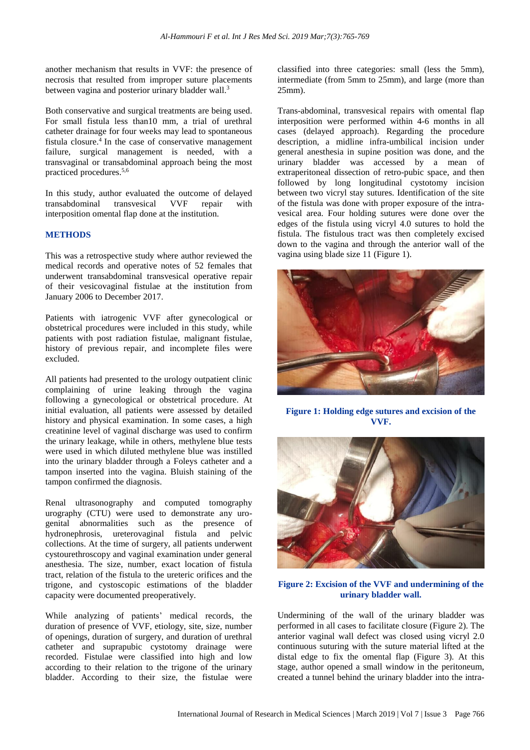another mechanism that results in VVF: the presence of necrosis that resulted from improper suture placements between vagina and posterior urinary bladder wall.<sup>3</sup>

Both conservative and surgical treatments are being used. For small fistula less than10 mm, a trial of urethral catheter drainage for four weeks may lead to spontaneous fistula closure. 4 In the case of conservative management failure, surgical management is needed, with a transvaginal or transabdominal approach being the most practiced procedures.5,6

In this study, author evaluated the outcome of delayed transabdominal transvesical VVF repair with interposition omental flap done at the institution.

#### **METHODS**

This was a retrospective study where author reviewed the medical records and operative notes of 52 females that underwent transabdominal transvesical operative repair of their vesicovaginal fistulae at the institution from January 2006 to December 2017.

Patients with iatrogenic VVF after gynecological or obstetrical procedures were included in this study, while patients with post radiation fistulae, malignant fistulae, history of previous repair, and incomplete files were excluded.

All patients had presented to the urology outpatient clinic complaining of urine leaking through the vagina following a gynecological or obstetrical procedure. At initial evaluation, all patients were assessed by detailed history and physical examination. In some cases, a high creatinine level of vaginal discharge was used to confirm the urinary leakage, while in others, methylene blue tests were used in which diluted methylene blue was instilled into the urinary bladder through a Foleys catheter and a tampon inserted into the vagina. Bluish staining of the tampon confirmed the diagnosis.

Renal ultrasonography and computed tomography urography (CTU) were used to demonstrate any urogenital abnormalities such as the presence of hydronephrosis, ureterovaginal fistula and pelvic collections. At the time of surgery, all patients underwent cystourethroscopy and vaginal examination under general anesthesia. The size, number, exact location of fistula tract, relation of the fistula to the ureteric orifices and the trigone, and cystoscopic estimations of the bladder capacity were documented preoperatively.

While analyzing of patients' medical records, the duration of presence of VVF, etiology, site, size, number of openings, duration of surgery, and duration of urethral catheter and suprapubic cystotomy drainage were recorded. Fistulae were classified into high and low according to their relation to the trigone of the urinary bladder. According to their size, the fistulae were classified into three categories: small (less the 5mm), intermediate (from 5mm to 25mm), and large (more than 25mm).

Trans-abdominal, transvesical repairs with omental flap interposition were performed within 4-6 months in all cases (delayed approach). Regarding the procedure description, a midline infra-umbilical incision under general anesthesia in supine position was done, and the urinary bladder was accessed by a mean of extraperitoneal dissection of retro-pubic space, and then followed by long longitudinal cystotomy incision between two vicryl stay sutures. Identification of the site of the fistula was done with proper exposure of the intravesical area. Four holding sutures were done over the edges of the fistula using vicryl 4.0 sutures to hold the fistula. The fistulous tract was then completely excised down to the vagina and through the anterior wall of the vagina using blade size 11 (Figure 1).



**Figure 1: Holding edge sutures and excision of the VVF.**



#### **Figure 2: Excision of the VVF and undermining of the urinary bladder wall.**

Undermining of the wall of the urinary bladder was performed in all cases to facilitate closure (Figure 2). The anterior vaginal wall defect was closed using vicryl 2.0 continuous suturing with the suture material lifted at the distal edge to fix the omental flap (Figure 3). At this stage, author opened a small window in the peritoneum, created a tunnel behind the urinary bladder into the intra-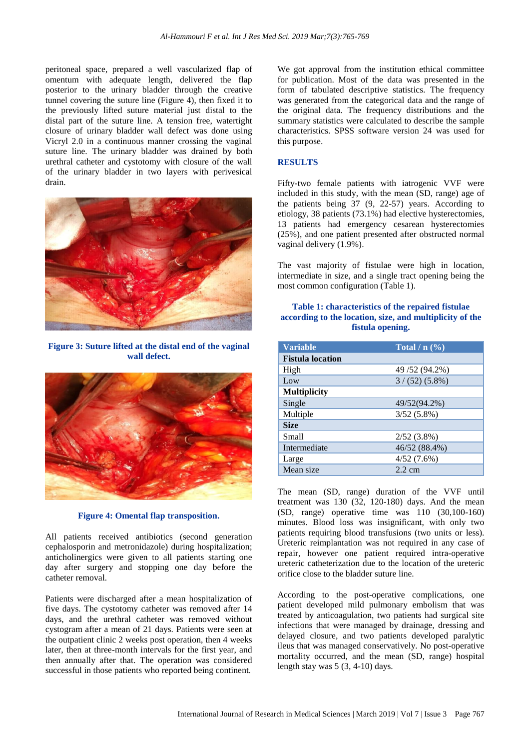peritoneal space, prepared a well vascularized flap of omentum with adequate length, delivered the flap posterior to the urinary bladder through the creative tunnel covering the suture line (Figure 4), then fixed it to the previously lifted suture material just distal to the distal part of the suture line. A tension free, watertight closure of urinary bladder wall defect was done using Vicryl 2.0 in a continuous manner crossing the vaginal suture line. The urinary bladder was drained by both urethral catheter and cystotomy with closure of the wall of the urinary bladder in two layers with perivesical drain.



**Figure 3: Suture lifted at the distal end of the vaginal wall defect.**



**Figure 4: Omental flap transposition.**

All patients received antibiotics (second generation cephalosporin and metronidazole) during hospitalization; anticholinergics were given to all patients starting one day after surgery and stopping one day before the catheter removal.

Patients were discharged after a mean hospitalization of five days. The cystotomy catheter was removed after 14 days, and the urethral catheter was removed without cystogram after a mean of 21 days. Patients were seen at the outpatient clinic 2 weeks post operation, then 4 weeks later, then at three-month intervals for the first year, and then annually after that. The operation was considered successful in those patients who reported being continent.

We got approval from the institution ethical committee for publication. Most of the data was presented in the form of tabulated descriptive statistics. The frequency was generated from the categorical data and the range of the original data. The frequency distributions and the summary statistics were calculated to describe the sample characteristics. SPSS software version 24 was used for this purpose.

#### **RESULTS**

Fifty-two female patients with iatrogenic VVF were included in this study, with the mean (SD, range) age of the patients being 37 (9, 22-57) years. According to etiology, 38 patients (73.1%) had elective hysterectomies, 13 patients had emergency cesarean hysterectomies (25%), and one patient presented after obstructed normal vaginal delivery (1.9%).

The vast majority of fistulae were high in location, intermediate in size, and a single tract opening being the most common configuration (Table 1).

#### **Table 1: characteristics of the repaired fistulae according to the location, size, and multiplicity of the fistula opening.**

| <b>Variable</b>         | Total $/ n$ (%)  |
|-------------------------|------------------|
| <b>Fistula location</b> |                  |
| High                    | 49 / 52 (94.2%)  |
| Low                     | $3/(52)(5.8\%)$  |
| <b>Multiplicity</b>     |                  |
| Single                  | 49/52(94.2%)     |
| Multiple                | $3/52(5.8\%)$    |
| <b>Size</b>             |                  |
| Small                   | $2/52(3.8\%)$    |
| Intermediate            | 46/52 (88.4%)    |
| Large                   | 4/52(7.6%)       |
| Mean size               | $2.2 \text{ cm}$ |

The mean (SD, range) duration of the VVF until treatment was  $130$   $(32, 120-180)$  days. And the mean (SD, range) operative time was 110 (30,100-160) minutes. Blood loss was insignificant, with only two patients requiring blood transfusions (two units or less). Ureteric reimplantation was not required in any case of repair, however one patient required intra-operative ureteric catheterization due to the location of the ureteric orifice close to the bladder suture line.

According to the post-operative complications, one patient developed mild pulmonary embolism that was treated by anticoagulation, two patients had surgical site infections that were managed by drainage, dressing and delayed closure, and two patients developed paralytic ileus that was managed conservatively. No post-operative mortality occurred, and the mean (SD, range) hospital length stay was 5 (3, 4-10) days.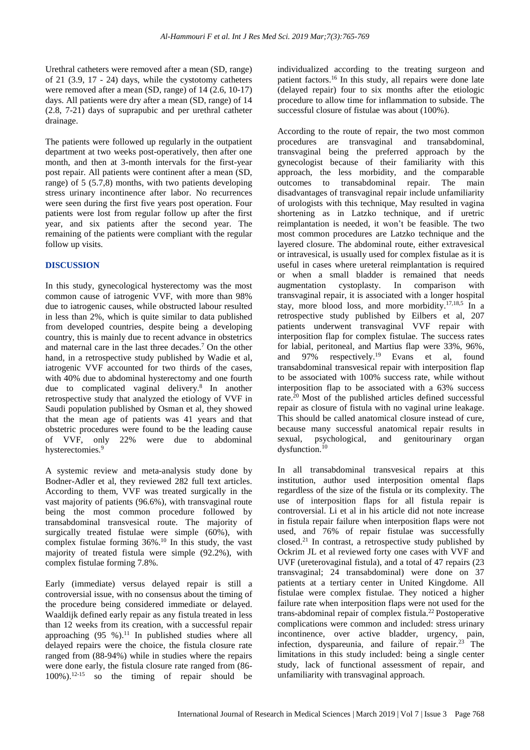Urethral catheters were removed after a mean (SD, range) of 21 (3.9, 17 - 24) days, while the cystotomy catheters were removed after a mean (SD, range) of 14 (2.6, 10-17) days. All patients were dry after a mean (SD, range) of 14 (2.8, 7-21) days of suprapubic and per urethral catheter drainage.

The patients were followed up regularly in the outpatient department at two weeks post-operatively, then after one month, and then at 3-month intervals for the first-year post repair. All patients were continent after a mean (SD, range) of 5 (5.7,8) months, with two patients developing stress urinary incontinence after labor. No recurrences were seen during the first five years post operation. Four patients were lost from regular follow up after the first year, and six patients after the second year. The remaining of the patients were compliant with the regular follow up visits.

#### **DISCUSSION**

In this study, gynecological hysterectomy was the most common cause of iatrogenic VVF, with more than 98% due to iatrogenic causes, while obstructed labour resulted in less than 2%, which is quite similar to data published from developed countries, despite being a developing country, this is mainly due to recent advance in obstetrics and maternal care in the last three decades.<sup>7</sup> On the other hand, in a retrospective study published by Wadie et al. iatrogenic VVF accounted for two thirds of the cases, with 40% due to abdominal hysterectomy and one fourth due to complicated vaginal delivery.<sup>8</sup> In another retrospective study that analyzed the etiology of VVF in Saudi population published by Osman et al, they showed that the mean age of patients was 41 years and that obstetric procedures were found to be the leading cause of VVF, only 22% were due to abdominal hysterectomies.<sup>9</sup>

A systemic review and meta-analysis study done by Bodner-Adler et al, they reviewed 282 full text articles. According to them, VVF was treated surgically in the vast majority of patients (96.6%), with transvaginal route being the most common procedure followed by transabdominal transvesical route. The majority of surgically treated fistulae were simple (60%), with complex fistulae forming  $36\%$ .<sup>10</sup> In this study, the vast majority of treated fistula were simple (92.2%), with complex fistulae forming 7.8%.

Early (immediate) versus delayed repair is still a controversial issue, with no consensus about the timing of the procedure being considered immediate or delayed. Waaldijk defined early repair as any fistula treated in less than 12 weeks from its creation, with a successful repair approaching (95 %). <sup>11</sup> In published studies where all delayed repairs were the choice, the fistula closure rate ranged from (88-94%) while in studies where the repairs were done early, the fistula closure rate ranged from (86- 100%). 12-15 so the timing of repair should be

individualized according to the treating surgeon and patient factors.<sup>16</sup> In this study, all repairs were done late (delayed repair) four to six months after the etiologic procedure to allow time for inflammation to subside. The successful closure of fistulae was about (100%).

According to the route of repair, the two most common procedures are transvaginal and transabdominal, transvaginal being the preferred approach by the gynecologist because of their familiarity with this approach, the less morbidity, and the comparable outcomes to transabdominal repair. The main disadvantages of transvaginal repair include unfamiliarity of urologists with this technique, May resulted in vagina shortening as in Latzko technique, and if uretric reimplantation is needed, it won't be feasible. The two most common procedures are Latzko technique and the layered closure. The abdominal route, either extravesical or intravesical, is usually used for complex fistulae as it is useful in cases where ureteral reimplantation is required or when a small bladder is remained that needs augmentation cystoplasty. In comparison with transvaginal repair, it is associated with a longer hospital stay, more blood loss, and more morbidity. 17,18,5 In a retrospective study published by Eilbers et al, 207 patients underwent transvaginal VVF repair with interposition flap for complex fistulae. The success rates for labial, peritoneal, and Martius flap were 33%, 96%, and 97% respectively.<sup>19</sup> Evans et al, found transabdominal transvesical repair with interposition flap to be associated with 100% success rate, while without interposition flap to be associated with a 63% success rate. <sup>20</sup> Most of the published articles defined successful repair as closure of fistula with no vaginal urine leakage. This should be called anatomical closure instead of cure, because many successful anatomical repair results in sexual, psychological, and genitourinary organ dysfunction.<sup>10</sup>

In all transabdominal transvesical repairs at this institution, author used interposition omental flaps regardless of the size of the fistula or its complexity. The use of interposition flaps for all fistula repair is controversial. Li et al in his article did not note increase in fistula repair failure when interposition flaps were not used, and 76% of repair fistulae was successfully closed. <sup>21</sup> In contrast, a retrospective study published by Ockrim JL et al reviewed forty one cases with VVF and UVF (ureterovaginal fistula), and a total of 47 repairs (23 transvaginal; 24 transabdominal) were done on 37 patients at a tertiary center in United Kingdome. All fistulae were complex fistulae. They noticed a higher failure rate when interposition flaps were not used for the trans-abdominal repair of complex fistula. <sup>22</sup> Postoperative complications were common and included: stress urinary incontinence, over active bladder, urgency, pain, infection, dyspareunia, and failure of repair. $23$  The limitations in this study included: being a single center study, lack of functional assessment of repair, and unfamiliarity with transvaginal approach.